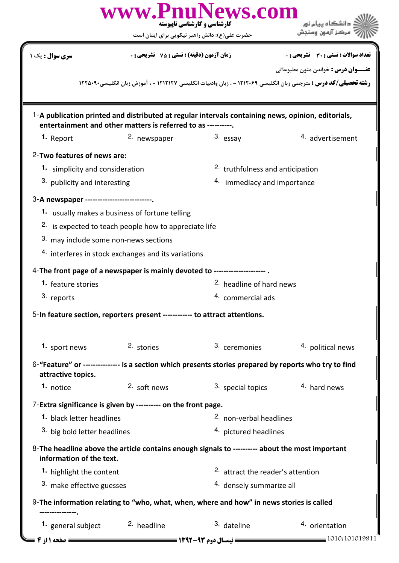| <b>سری سوال :</b> یک ۱                                                                                                                                              | <b>زمان آزمون (دقیقه) : تستی : 75 ٪ تشریحی : 0</b>                                                     | <b>تعداد سوالات : تستی : 30 ٪ تشریحی : 0</b><br><b>عنـــوان درس :</b> خواندن متون مطبوعاتي<br><b>رشته تحصیلی/کد درس :</b> مترجمی زبان انگلیسی ۱۲۱۲۰۶۹ - ، زبان وادبیات انگلیسی ۱۲۱۲۱۲۷ - ، آموزش زبان انگلیسی۲۲۵۰۹۰ |  |  |  |
|---------------------------------------------------------------------------------------------------------------------------------------------------------------------|--------------------------------------------------------------------------------------------------------|---------------------------------------------------------------------------------------------------------------------------------------------------------------------------------------------------------------------|--|--|--|
|                                                                                                                                                                     |                                                                                                        |                                                                                                                                                                                                                     |  |  |  |
|                                                                                                                                                                     |                                                                                                        |                                                                                                                                                                                                                     |  |  |  |
| 1-A publication printed and distributed at regular intervals containing news, opinion, editorials,<br>entertainment and other matters is referred to as ----------. |                                                                                                        |                                                                                                                                                                                                                     |  |  |  |
| 2. newspaper<br>1. Report                                                                                                                                           | 3. essay                                                                                               | 4. advertisement                                                                                                                                                                                                    |  |  |  |
| 2-Two features of news are:                                                                                                                                         |                                                                                                        |                                                                                                                                                                                                                     |  |  |  |
| 1. simplicity and consideration                                                                                                                                     |                                                                                                        | <sup>2.</sup> truthfulness and anticipation                                                                                                                                                                         |  |  |  |
| 3. publicity and interesting                                                                                                                                        |                                                                                                        | 4. immediacy and importance                                                                                                                                                                                         |  |  |  |
| 3-A newspaper -----------------------                                                                                                                               |                                                                                                        |                                                                                                                                                                                                                     |  |  |  |
| 1. usually makes a business of fortune telling                                                                                                                      |                                                                                                        |                                                                                                                                                                                                                     |  |  |  |
| <sup>2.</sup> is expected to teach people how to appreciate life                                                                                                    |                                                                                                        |                                                                                                                                                                                                                     |  |  |  |
| 3. may include some non-news sections                                                                                                                               |                                                                                                        |                                                                                                                                                                                                                     |  |  |  |
| 4. interferes in stock exchanges and its variations                                                                                                                 |                                                                                                        |                                                                                                                                                                                                                     |  |  |  |
| 4-The front page of a newspaper is mainly devoted to -----------------                                                                                              |                                                                                                        |                                                                                                                                                                                                                     |  |  |  |
| 1. feature stories                                                                                                                                                  | <sup>2.</sup> headline of hard news                                                                    |                                                                                                                                                                                                                     |  |  |  |
| 3. reports                                                                                                                                                          | 4. commercial ads                                                                                      |                                                                                                                                                                                                                     |  |  |  |
| 5-In feature section, reporters present ------------ to attract attentions.                                                                                         |                                                                                                        |                                                                                                                                                                                                                     |  |  |  |
| 2. stories<br>1. sport news                                                                                                                                         | 3. ceremonies                                                                                          | 4. political news                                                                                                                                                                                                   |  |  |  |
| attractive topics.                                                                                                                                                  | 6-"Feature" or --------------- is a section which presents stories prepared by reports who try to find |                                                                                                                                                                                                                     |  |  |  |
| 2. soft news<br>1. notice                                                                                                                                           | 3. special topics                                                                                      | 4. hard news                                                                                                                                                                                                        |  |  |  |
| 7-Extra significance is given by ---------- on the front page.                                                                                                      |                                                                                                        |                                                                                                                                                                                                                     |  |  |  |
| 1. black letter headlines                                                                                                                                           |                                                                                                        | <sup>2.</sup> non-verbal headlines                                                                                                                                                                                  |  |  |  |
| 3. big bold letter headlines                                                                                                                                        |                                                                                                        | 4. pictured headlines                                                                                                                                                                                               |  |  |  |
| 8-The headline above the article contains enough signals to ---------- about the most important<br>information of the text.                                         |                                                                                                        |                                                                                                                                                                                                                     |  |  |  |
| 1. highlight the content                                                                                                                                            |                                                                                                        | <sup>2.</sup> attract the reader's attention                                                                                                                                                                        |  |  |  |
| <sup>3.</sup> make effective guesses                                                                                                                                |                                                                                                        | <sup>4.</sup> densely summarize all                                                                                                                                                                                 |  |  |  |
| 9-The information relating to "who, what, when, where and how" in news stories is called                                                                            |                                                                                                        |                                                                                                                                                                                                                     |  |  |  |
| 1. general subject<br><sup>2</sup> headline                                                                                                                         | 3. dateline                                                                                            | 4. orientation<br>1010/101019911                                                                                                                                                                                    |  |  |  |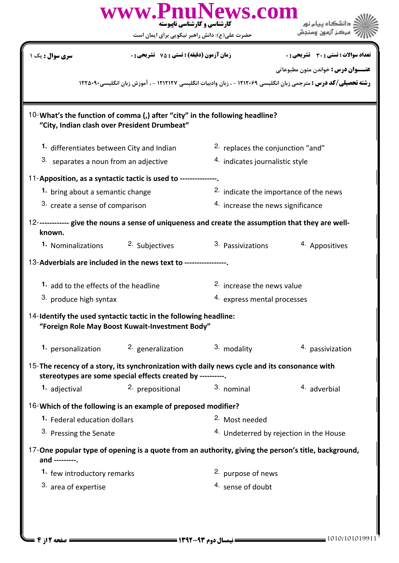|                                                                                                                                                                      | www.PnuNews.com<br>کارشناسی و کارشناسی ناپیوسته<br>حضرت علی(ع): دانش راهبر نیکویی برای ایمان است                            |                                              | دانشگاه پیام نور<br>مركز آزمون وسنجش               |  |  |
|----------------------------------------------------------------------------------------------------------------------------------------------------------------------|-----------------------------------------------------------------------------------------------------------------------------|----------------------------------------------|----------------------------------------------------|--|--|
| <b>سری سوال :</b> یک ۱                                                                                                                                               | <b>زمان آزمون (دقیقه) : تستی : 75 ٪ تشریحی : 0</b>                                                                          |                                              | تعداد سوالات : تستى : 30 قشريحى : 0                |  |  |
| <b>عنـــوان درس :</b> خواندن متون مطبوعاتي<br><b>رشته تحصیلی/کد درس :</b> مترجمی زبان انگلیسی ۱۲۱۲۰۶۹ - ، زبان وادبیات انگلیسی ۱۲۱۲۱۲۷ - ، آموزش زبان انگلیسی۹۰۹۰۵۲۲ |                                                                                                                             |                                              |                                                    |  |  |
|                                                                                                                                                                      | 10-What's the function of comma (,) after "city" in the following headline?<br>"City, Indian clash over President Drumbeat" |                                              |                                                    |  |  |
|                                                                                                                                                                      | 1. differentiates between City and Indian                                                                                   | <sup>2.</sup> replaces the conjunction "and" |                                                    |  |  |
| 3. separates a noun from an adjective                                                                                                                                |                                                                                                                             | 4. indicates journalistic style              |                                                    |  |  |
|                                                                                                                                                                      | 11-Apposition, as a syntactic tactic is used to ---------------.                                                            |                                              |                                                    |  |  |
| 1. bring about a semantic change                                                                                                                                     |                                                                                                                             | 2. indicate the importance of the news       |                                                    |  |  |
| 3. create a sense of comparison                                                                                                                                      |                                                                                                                             | 4. increase the news significance            |                                                    |  |  |
| known.                                                                                                                                                               | 12------------- give the nouns a sense of uniqueness and create the assumption that they are well-                          |                                              |                                                    |  |  |
| 1. Nominalizations                                                                                                                                                   | 2. Subjectives                                                                                                              | 3. Passivizations                            | 4. Appositives                                     |  |  |
|                                                                                                                                                                      | 13-Adverbials are included in the news text to -------------                                                                |                                              |                                                    |  |  |
| 1. add to the effects of the headline                                                                                                                                |                                                                                                                             |                                              | <sup>2.</sup> increase the news value              |  |  |
| <sup>3</sup> produce high syntax                                                                                                                                     |                                                                                                                             |                                              | 4. express mental processes                        |  |  |
| 14-Identify the used syntactic tactic in the following headline:<br>"Foreign Role May Boost Kuwait-Investment Body"                                                  |                                                                                                                             |                                              |                                                    |  |  |
| 1. personalization                                                                                                                                                   | 2. generalization                                                                                                           | 3. modality                                  | 4. passivization                                   |  |  |
| 15-The recency of a story, its synchronization with daily news cycle and its consonance with<br>stereotypes are some special effects created by ----------.          |                                                                                                                             |                                              |                                                    |  |  |
| 1. adjectival                                                                                                                                                        | 2. prepositional                                                                                                            | 3. nominal                                   | <sup>4</sup> adverbial                             |  |  |
|                                                                                                                                                                      | 16-Which of the following is an example of preposed modifier?                                                               |                                              |                                                    |  |  |
| 1. Federal education dollars                                                                                                                                         |                                                                                                                             | <sup>2.</sup> Most needed                    |                                                    |  |  |
| 3. Pressing the Senate                                                                                                                                               |                                                                                                                             |                                              | <sup>4.</sup> Undeterred by rejection in the House |  |  |
| and ---------.                                                                                                                                                       | 17-One popular type of opening is a quote from an authority, giving the person's title, background,                         |                                              |                                                    |  |  |
| 1. few introductory remarks                                                                                                                                          |                                                                                                                             | 2. purpose of news                           |                                                    |  |  |
| 3. area of expertise                                                                                                                                                 |                                                                                                                             | 4. sense of doubt                            |                                                    |  |  |
|                                                                                                                                                                      |                                                                                                                             |                                              |                                                    |  |  |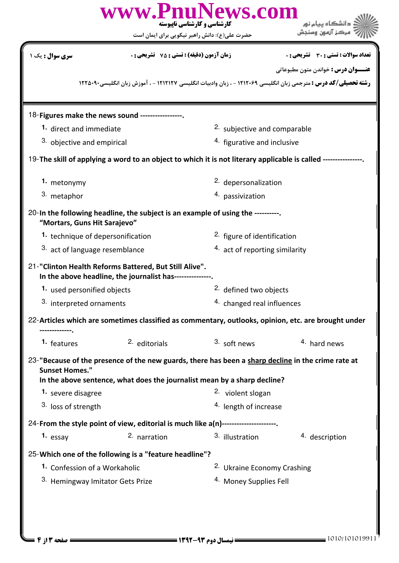|                                             |                                                                                                                   | www.PnuNews.com<br>کارشناسی و کارشناسی نابیوسته<br>حضرت علی(ع): دانش راهبر نیکویی برای ایمان است                                                                                                               | دانشگاه پیام نور<br>مركز آزمون وسنجش                                                                                  |  |  |
|---------------------------------------------|-------------------------------------------------------------------------------------------------------------------|----------------------------------------------------------------------------------------------------------------------------------------------------------------------------------------------------------------|-----------------------------------------------------------------------------------------------------------------------|--|--|
| <b>سری سوال :</b> یک ۱                      | <b>زمان آزمون (دقیقه) : تستی : 75 ٪ تشریحی : 0</b>                                                                |                                                                                                                                                                                                                | <b>تعداد سوالات : تستي : 30 ٪ تشريحي : 0</b>                                                                          |  |  |
|                                             |                                                                                                                   |                                                                                                                                                                                                                | <b>عنـــوان درس :</b> خواندن متون مطبوعاتي                                                                            |  |  |
|                                             |                                                                                                                   |                                                                                                                                                                                                                | <b>رشته تحصیلی/کد درس :</b> مترجمی زبان انگلیسی ۱۲۱۲۰۶۹ - ، زبان وادبیات انگلیسی ۱۲۱۲۱۲۷ - ، آموزش زبان انگلیسی۲۲۵۰۹۰ |  |  |
|                                             | 18-Figures make the news sound ----------------.                                                                  |                                                                                                                                                                                                                |                                                                                                                       |  |  |
|                                             | 1. direct and immediate                                                                                           |                                                                                                                                                                                                                | <sup>2.</sup> subjective and comparable                                                                               |  |  |
| 3. objective and empirical                  |                                                                                                                   | 4. figurative and inclusive                                                                                                                                                                                    |                                                                                                                       |  |  |
|                                             |                                                                                                                   | 19-The skill of applying a word to an object to which it is not literary applicable is called --------------                                                                                                   |                                                                                                                       |  |  |
| 1. metonymy                                 |                                                                                                                   | 2. depersonalization                                                                                                                                                                                           |                                                                                                                       |  |  |
| 3. metaphor                                 |                                                                                                                   | 4. passivization                                                                                                                                                                                               |                                                                                                                       |  |  |
| "Mortars, Guns Hit Sarajevo"                |                                                                                                                   | 20-In the following headline, the subject is an example of using the ----------.                                                                                                                               |                                                                                                                       |  |  |
|                                             | 1. technique of depersonification                                                                                 |                                                                                                                                                                                                                | <sup>2.</sup> figure of identification                                                                                |  |  |
| 3. act of language resemblance              |                                                                                                                   | 4. act of reporting similarity                                                                                                                                                                                 |                                                                                                                       |  |  |
|                                             | 21-"Clinton Health Reforms Battered, But Still Alive".<br>In the above headline, the journalist has-------------- |                                                                                                                                                                                                                |                                                                                                                       |  |  |
| 1. used personified objects                 |                                                                                                                   | <sup>2.</sup> defined two objects                                                                                                                                                                              |                                                                                                                       |  |  |
| 3. interpreted ornaments                    |                                                                                                                   | 4. changed real influences                                                                                                                                                                                     |                                                                                                                       |  |  |
|                                             |                                                                                                                   | 22-Articles which are sometimes classified as commentary, outlooks, opinion, etc. are brought under                                                                                                            |                                                                                                                       |  |  |
| 1. features                                 | <sup>2.</sup> editorials                                                                                          | 3. soft news                                                                                                                                                                                                   | 4. hard news                                                                                                          |  |  |
| <b>Sunset Homes."</b><br>1. severe disagree |                                                                                                                   | 23-"Because of the presence of the new guards, there has been a sharp decline in the crime rate at<br>In the above sentence, what does the journalist mean by a sharp decline?<br><sup>2.</sup> violent slogan |                                                                                                                       |  |  |
| 3. loss of strength                         |                                                                                                                   | <sup>4.</sup> length of increase                                                                                                                                                                               |                                                                                                                       |  |  |
|                                             |                                                                                                                   | 24-From the style point of view, editorial is much like a(n)---------------------                                                                                                                              |                                                                                                                       |  |  |
| 1. essay                                    | 2. narration                                                                                                      | 3. illustration                                                                                                                                                                                                | <sup>4</sup> description                                                                                              |  |  |
|                                             | 25-Which one of the following is a "feature headline"?                                                            |                                                                                                                                                                                                                |                                                                                                                       |  |  |
| 1. Confession of a Workaholic               |                                                                                                                   |                                                                                                                                                                                                                | <sup>2.</sup> Ukraine Economy Crashing                                                                                |  |  |
| 3. Hemingway Imitator Gets Prize            |                                                                                                                   | <sup>4.</sup> Money Supplies Fell                                                                                                                                                                              |                                                                                                                       |  |  |
|                                             |                                                                                                                   |                                                                                                                                                                                                                |                                                                                                                       |  |  |